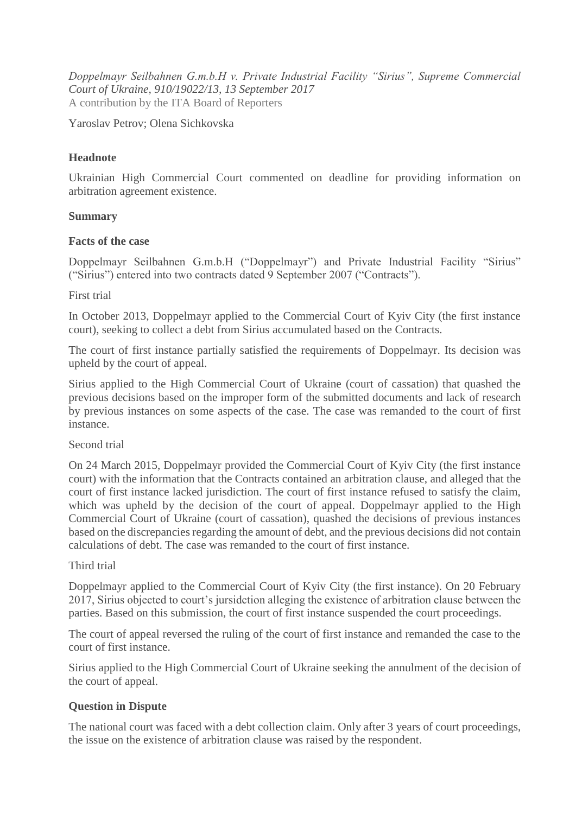*Doppelmayr Seilbahnen G.m.b.H v. Private Industrial Facility "Sirius", Supreme Commercial Court of Ukraine, 910/19022/13, 13 September 2017* A contribution by the ITA Board of Reporters

Yaroslav Petrov; Olena Sichkovska

# **Headnote**

Ukrainian High Commercial Court commented on deadline for providing information on arbitration agreement existence.

## **Summary**

### **Facts of the case**

Doppelmayr Seilbahnen G.m.b.H ("Doppelmayr") and Private Industrial Facility "Sirius" ("Sirius") entered into two contracts dated 9 September 2007 ("Contracts").

### First trial

In October 2013, Doppelmayr applied to the Commercial Court of Kyiv City (the first instance court), seeking to collect a debt from Sirius accumulated based on the Contracts.

The court of first instance partially satisfied the requirements of Doppelmayr. Its decision was upheld by the court of appeal.

Sirius applied to the High Commercial Court of Ukraine (court of cassation) that quashed the previous decisions based on the improper form of the submitted documents and lack of research by previous instances on some aspects of the case. The case was remanded to the court of first instance.

#### Second trial

On 24 March 2015, Doppelmayr provided the Commercial Court of Kyiv City (the first instance court) with the information that the Contracts contained an arbitration clause, and alleged that the court of first instance lacked jurisdiction. The court of first instance refused to satisfy the claim, which was upheld by the decision of the court of appeal. Doppelmayr applied to the High Commercial Court of Ukraine (court of cassation), quashed the decisions of previous instances based on the discrepancies regarding the amount of debt, and the previous decisions did not contain calculations of debt. The case was remanded to the court of first instance.

## Third trial

Doppelmayr applied to the Commercial Court of Kyiv City (the first instance). On 20 February 2017, Sirius objected to court's jursidction alleging the existence of arbitration clause between the parties. Based on this submission, the court of first instance suspended the court proceedings.

The court of appeal reversed the ruling of the court of first instance and remanded the case to the court of first instance.

Sirius applied to the High Commercial Court of Ukraine seeking the annulment of the decision of the court of appeal.

## **Question in Dispute**

The national court was faced with a debt collection claim. Only after 3 years of court proceedings, the issue on the existence of arbitration clause was raised by the respondent.